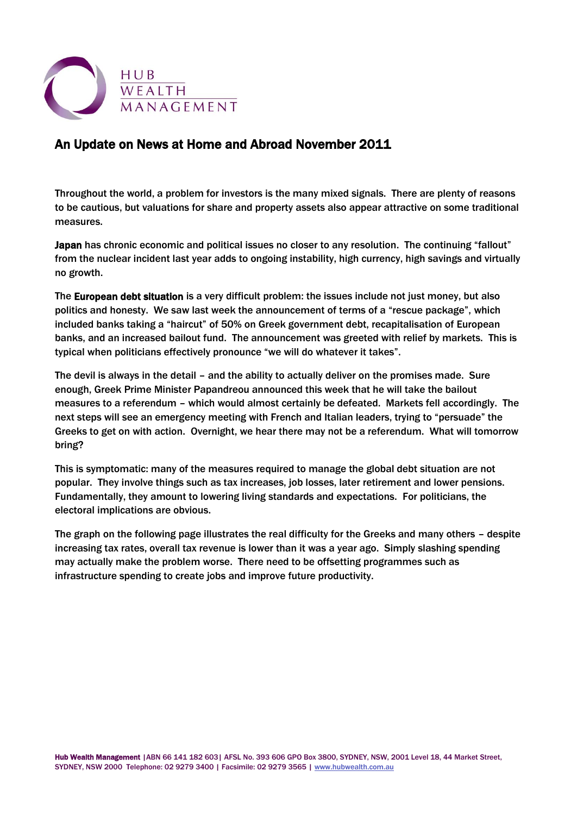

# An Update on News at Home and Abroad November 2011

Throughout the world, a problem for investors is the many mixed signals. There are plenty of reasons to be cautious, but valuations for share and property assets also appear attractive on some traditional measures.

Japan has chronic economic and political issues no closer to any resolution. The continuing "fallout" from the nuclear incident last year adds to ongoing instability, high currency, high savings and virtually no growth.

The European debt situation is a very difficult problem: the issues include not just money, but also politics and honesty. We saw last week the announcement of terms of a "rescue package", which included banks taking a "haircut" of 50% on Greek government debt, recapitalisation of European banks, and an increased bailout fund. The announcement was greeted with relief by markets. This is typical when politicians effectively pronounce "we will do whatever it takes".

The devil is always in the detail – and the ability to actually deliver on the promises made. Sure enough, Greek Prime Minister Papandreou announced this week that he will take the bailout measures to a referendum – which would almost certainly be defeated. Markets fell accordingly. The next steps will see an emergency meeting with French and Italian leaders, trying to "persuade" the Greeks to get on with action. Overnight, we hear there may not be a referendum. What will tomorrow bring?

This is symptomatic: many of the measures required to manage the global debt situation are not popular. They involve things such as tax increases, job losses, later retirement and lower pensions. Fundamentally, they amount to lowering living standards and expectations. For politicians, the electoral implications are obvious.

The graph on the following page illustrates the real difficulty for the Greeks and many others – despite increasing tax rates, overall tax revenue is lower than it was a year ago. Simply slashing spending may actually make the problem worse. There need to be offsetting programmes such as infrastructure spending to create jobs and improve future productivity.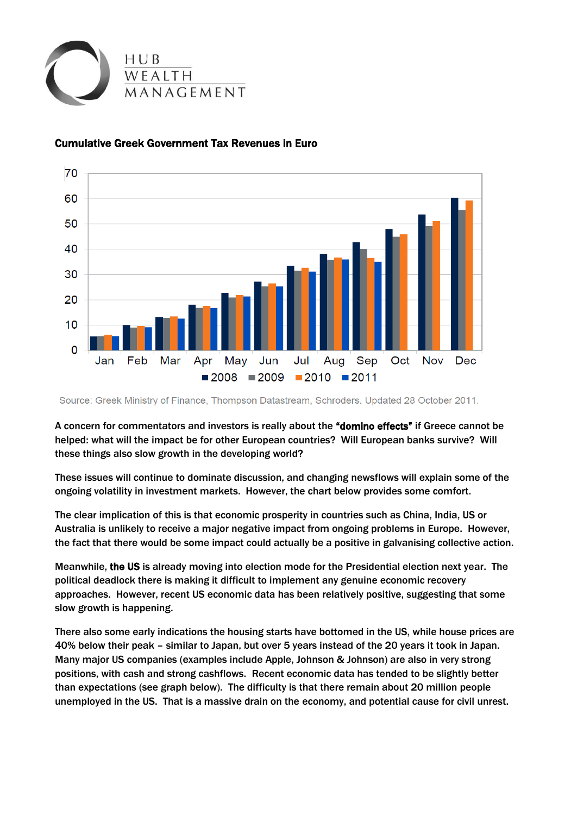



## Cumulative Greek Government Tax Revenues in Euro

Source: Greek Ministry of Finance, Thompson Datastream, Schroders. Updated 28 October 2011.

A concern for commentators and investors is really about the "domino effects" if Greece cannot be helped: what will the impact be for other European countries? Will European banks survive? Will these things also slow growth in the developing world?

These issues will continue to dominate discussion, and changing newsflows will explain some of the ongoing volatility in investment markets. However, the chart below provides some comfort.

The clear implication of this is that economic prosperity in countries such as China, India, US or Australia is unlikely to receive a major negative impact from ongoing problems in Europe. However, the fact that there would be some impact could actually be a positive in galvanising collective action.

Meanwhile, the US is already moving into election mode for the Presidential election next year. The political deadlock there is making it difficult to implement any genuine economic recovery approaches. However, recent US economic data has been relatively positive, suggesting that some slow growth is happening.

There also some early indications the housing starts have bottomed in the US, while house prices are 40% below their peak – similar to Japan, but over 5 years instead of the 20 years it took in Japan. Many major US companies (examples include Apple, Johnson & Johnson) are also in very strong positions, with cash and strong cashflows. Recent economic data has tended to be slightly better than expectations (see graph below). The difficulty is that there remain about 20 million people unemployed in the US. That is a massive drain on the economy, and potential cause for civil unrest.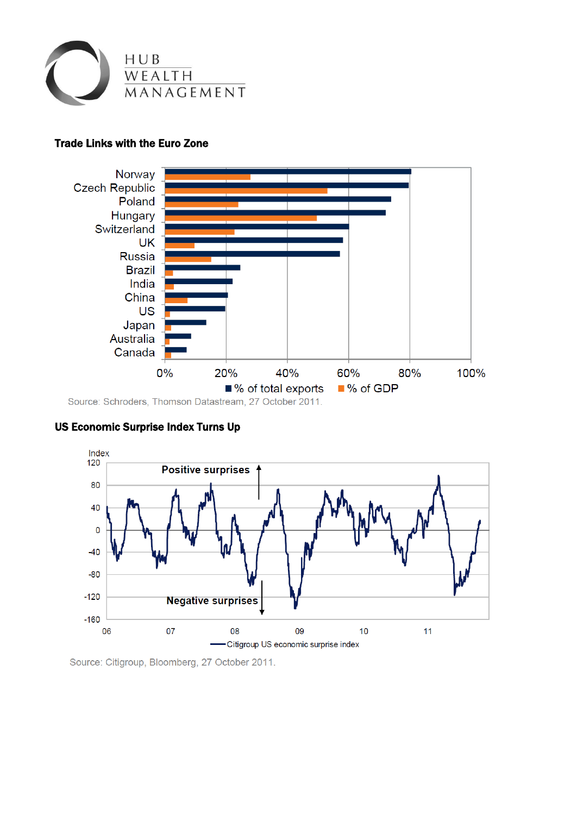

## Trade Links with the Euro Zone



# US Economic Surprise Index Turns Up



Source: Citigroup, Bloomberg, 27 October 2011.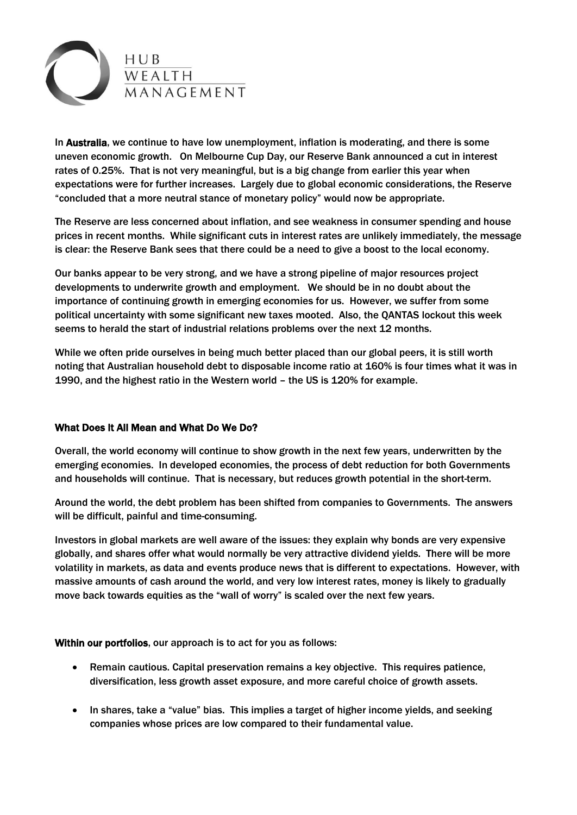

In Australia, we continue to have low unemployment, inflation is moderating, and there is some uneven economic growth. On Melbourne Cup Day, our Reserve Bank announced a cut in interest rates of 0.25%. That is not very meaningful, but is a big change from earlier this year when expectations were for further increases. Largely due to global economic considerations, the Reserve "concluded that a more neutral stance of monetary policy" would now be appropriate.

The Reserve are less concerned about inflation, and see weakness in consumer spending and house prices in recent months. While significant cuts in interest rates are unlikely immediately, the message is clear: the Reserve Bank sees that there could be a need to give a boost to the local economy.

Our banks appear to be very strong, and we have a strong pipeline of major resources project developments to underwrite growth and employment. We should be in no doubt about the importance of continuing growth in emerging economies for us. However, we suffer from some political uncertainty with some significant new taxes mooted. Also, the QANTAS lockout this week seems to herald the start of industrial relations problems over the next 12 months.

While we often pride ourselves in being much better placed than our global peers, it is still worth noting that Australian household debt to disposable income ratio at 160% is four times what it was in 1990, and the highest ratio in the Western world – the US is 120% for example.

### What Does It All Mean and What Do We Do?

Overall, the world economy will continue to show growth in the next few years, underwritten by the emerging economies. In developed economies, the process of debt reduction for both Governments and households will continue. That is necessary, but reduces growth potential in the short-term.

Around the world, the debt problem has been shifted from companies to Governments. The answers will be difficult, painful and time-consuming.

Investors in global markets are well aware of the issues: they explain why bonds are very expensive globally, and shares offer what would normally be very attractive dividend yields. There will be more volatility in markets, as data and events produce news that is different to expectations. However, with massive amounts of cash around the world, and very low interest rates, money is likely to gradually move back towards equities as the "wall of worry" is scaled over the next few years.

Within our portfolios, our approach is to act for you as follows:

- Remain cautious. Capital preservation remains a key objective. This requires patience, diversification, less growth asset exposure, and more careful choice of growth assets.
- In shares, take a "value" bias. This implies a target of higher income yields, and seeking companies whose prices are low compared to their fundamental value.